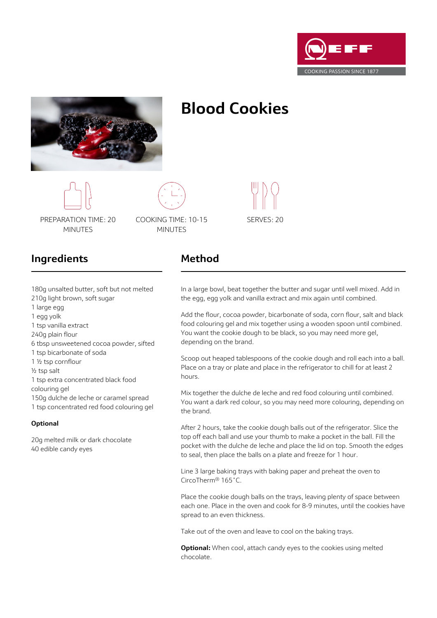



# **Blood Cookies**



180g unsalted butter, soft but not melted

6 tbsp unsweetened cocoa powder, sifted

1 tsp extra concentrated black food

20g melted milk or dark chocolate

40 edible candy eyes

150g dulche de leche or caramel spread 1 tsp concentrated red food colouring gel



PREPARATION TIME: 20 MINUTES

210g light brown, soft sugar

COOKING TIME: 10-15 MINUTES

# SERVES: 20

## **Ingredients**

1 tsp vanilla extract 240g plain flour

1 ½ tsp cornflour ½ tsp salt

colouring gel

**Optional**

1 tsp bicarbonate of soda

1 large egg 1 egg yolk

### **Method**

In a large bowl, beat together the butter and sugar until well mixed. Add in the egg, egg yolk and vanilla extract and mix again until combined.

Add the flour, cocoa powder, bicarbonate of soda, corn flour, salt and black food colouring gel and mix together using a wooden spoon until combined. You want the cookie dough to be black, so you may need more gel, depending on the brand.

Scoop out heaped tablespoons of the cookie dough and roll each into a ball. Place on a tray or plate and place in the refrigerator to chill for at least 2 hours.

Mix together the dulche de leche and red food colouring until combined. You want a dark red colour, so you may need more colouring, depending on the brand.

After 2 hours, take the cookie dough balls out of the refrigerator. Slice the top off each ball and use your thumb to make a pocket in the ball. Fill the pocket with the dulche de leche and place the lid on top. Smooth the edges to seal, then place the balls on a plate and freeze for 1 hour.

Line 3 large baking trays with baking paper and preheat the oven to CircoTherm® 165˚C.

Place the cookie dough balls on the trays, leaving plenty of space between each one. Place in the oven and cook for 8-9 minutes, until the cookies have spread to an even thickness.

Take out of the oven and leave to cool on the baking trays.

**Optional:** When cool, attach candy eyes to the cookies using melted chocolate.